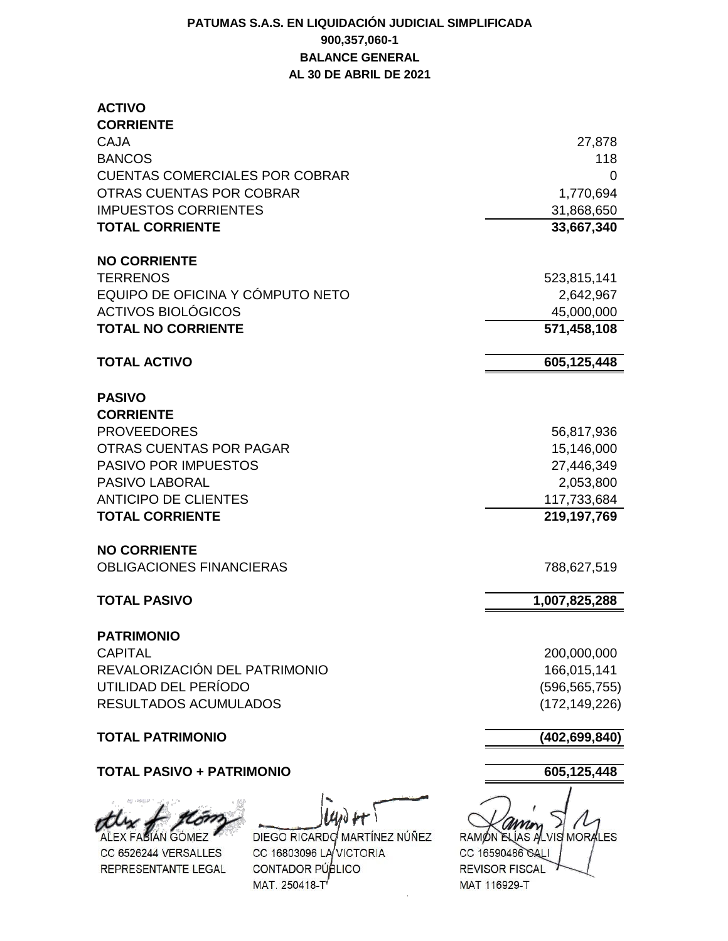## **PATUMAS S.A.S. EN LIQUIDACIÓN JUDICIAL SIMPLIFICADA 900,357,060-1 BALANCE GENERAL AL 30 DE ABRIL DE 2021**

| <b>ACTIVO</b><br><b>CORRIENTE</b>     |                 |
|---------------------------------------|-----------------|
| <b>CAJA</b>                           | 27,878          |
| <b>BANCOS</b>                         | 118             |
| <b>CUENTAS COMERCIALES POR COBRAR</b> | 0               |
| <b>OTRAS CUENTAS POR COBRAR</b>       | 1,770,694       |
| <b>IMPUESTOS CORRIENTES</b>           | 31,868,650      |
| <b>TOTAL CORRIENTE</b>                | 33,667,340      |
|                                       |                 |
| <b>NO CORRIENTE</b>                   |                 |
| <b>TERRENOS</b>                       | 523,815,141     |
| EQUIPO DE OFICINA Y CÓMPUTO NETO      | 2,642,967       |
| <b>ACTIVOS BIOLÓGICOS</b>             | 45,000,000      |
| <b>TOTAL NO CORRIENTE</b>             | 571,458,108     |
| <b>TOTAL ACTIVO</b>                   | 605,125,448     |
|                                       |                 |
| <b>PASIVO</b>                         |                 |
| <b>CORRIENTE</b>                      |                 |
| <b>PROVEEDORES</b>                    | 56,817,936      |
| OTRAS CUENTAS POR PAGAR               | 15,146,000      |
| PASIVO POR IMPUESTOS                  | 27,446,349      |
| <b>PASIVO LABORAL</b>                 | 2,053,800       |
| <b>ANTICIPO DE CLIENTES</b>           | 117,733,684     |
| <b>TOTAL CORRIENTE</b>                | 219,197,769     |
| <b>NO CORRIENTE</b>                   |                 |
| <b>OBLIGACIONES FINANCIERAS</b>       | 788,627,519     |
|                                       |                 |
| <b>TOTAL PASIVO</b>                   | 1,007,825,288   |
| <b>PATRIMONIO</b>                     |                 |
| <b>CAPITAL</b>                        | 200,000,000     |
| REVALORIZACIÓN DEL PATRIMONIO         | 166,015,141     |
| UTILIDAD DEL PERÍODO                  | (596, 565, 755) |
| RESULTADOS ACUMULADOS                 | (172, 149, 226) |
| <b>TOTAL PATRIMONIO</b>               | (402, 699, 840) |
| <b>TOTAL PASIVO + PATRIMONIO</b>      | 605,125,448     |
| $\mu$<br>the & Kom                    |                 |

ALEX FASIÁN GÓMEZ CC 6526244 VERSALLES REPRESENTANTE LEGAL

**ACTIVITY** 

DIEGO RICARDO MARTÍNEZ NÚÑEZ CC 16803096 LAVICTORIA CONTADOR PÚBLICO MAT. 250418-T

RAMON ELÍAS ALVIS MORALES CC 16590486 GALI REVISOR FISCAL MAT 116929-T